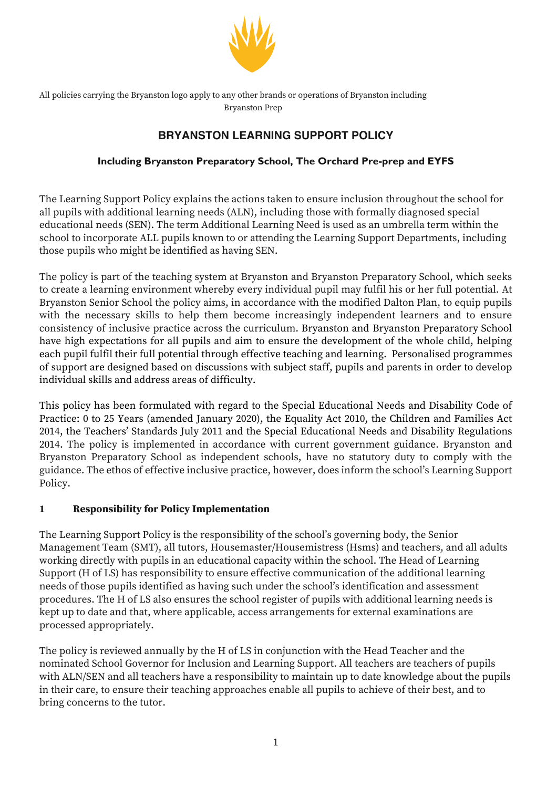

All policies carrying the Bryanston logo apply to any other brands or operations of Bryanston including Bryanston Prep

# **BRYANSTON LEARNING SUPPORT POLICY**

# **Including Bryanston Preparatory School, The Orchard Pre-prep and EYFS**

The Learning Support Policy explains the actions taken to ensure inclusion throughout the school for all pupils with additional learning needs (ALN), including those with formally diagnosed special educational needs (SEN). The term Additional Learning Need is used as an umbrella term within the school to incorporate ALL pupils known to or attending the Learning Support Departments, including those pupils who might be identified as having SEN.

The policy is part of the teaching system at Bryanston and Bryanston Preparatory School, which seeks to create a learning environment whereby every individual pupil may fulfil his or her full potential. At Bryanston Senior School the policy aims, in accordance with the modified Dalton Plan, to equip pupils with the necessary skills to help them become increasingly independent learners and to ensure consistency of inclusive practice across the curriculum. Bryanston and Bryanston Preparatory School have high expectations for all pupils and aim to ensure the development of the whole child, helping each pupil fulfil their full potential through effective teaching and learning. Personalised programmes of support are designed based on discussions with subject staff, pupils and parents in order to develop individual skills and address areas of difficulty.

This policy has been formulated with regard to the Special Educational Needs and Disability Code of Practice: 0 to 25 Years (amended January 2020), the Equality Act 2010, the Children and Families Act 2014, the Teachers' Standards July 2011 and the Special Educational Needs and Disability Regulations 2014. The policy is implemented in accordance with current government guidance. Bryanston and Bryanston Preparatory School as independent schools, have no statutory duty to comply with the guidance. The ethos of effective inclusive practice, however, does inform the school's Learning Support Policy.

## **1 Responsibility for Policy Implementation**

The Learning Support Policy is the responsibility of the school's governing body, the Senior Management Team (SMT), all tutors, Housemaster/Housemistress (Hsms) and teachers, and all adults working directly with pupils in an educational capacity within the school. The Head of Learning Support (H of LS) has responsibility to ensure effective communication of the additional learning needs of those pupils identified as having such under the school's identification and assessment procedures. The H of LS also ensures the school register of pupils with additional learning needs is kept up to date and that, where applicable, access arrangements for external examinations are processed appropriately.

The policy is reviewed annually by the H of LS in conjunction with the Head Teacher and the nominated School Governor for Inclusion and Learning Support. All teachers are teachers of pupils with ALN/SEN and all teachers have a responsibility to maintain up to date knowledge about the pupils in their care, to ensure their teaching approaches enable all pupils to achieve of their best, and to bring concerns to the tutor.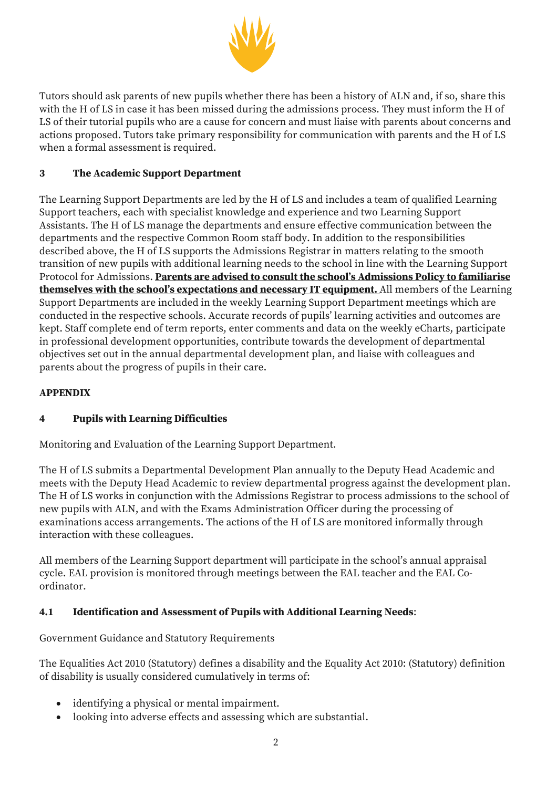

Tutors should ask parents of new pupils whether there has been a history of ALN and, if so, share this with the H of LS in case it has been missed during the admissions process. They must inform the H of LS of their tutorial pupils who are a cause for concern and must liaise with parents about concerns and actions proposed. Tutors take primary responsibility for communication with parents and the H of LS when a formal assessment is required.

# **3 The Academic Support Department**

The Learning Support Departments are led by the H of LS and includes a team of qualified Learning Support teachers, each with specialist knowledge and experience and two Learning Support Assistants. The H of LS manage the departments and ensure effective communication between the departments and the respective Common Room staff body. In addition to the responsibilities described above, the H of LS supports the Admissions Registrar in matters relating to the smooth transition of new pupils with additional learning needs to the school in line with the Learning Support Protocol for Admissions. **Parents are advised to consult the school's Admissions Policy to familiarise themselves with the school's expectations and necessary IT equipment.** All members of the Learning Support Departments are included in the weekly Learning Support Department meetings which are conducted in the respective schools. Accurate records of pupils' learning activities and outcomes are kept. Staff complete end of term reports, enter comments and data on the weekly eCharts, participate in professional development opportunities, contribute towards the development of departmental objectives set out in the annual departmental development plan, and liaise with colleagues and parents about the progress of pupils in their care.

## **APPENDIX**

## **4 Pupils with Learning Difficulties**

Monitoring and Evaluation of the Learning Support Department.

The H of LS submits a Departmental Development Plan annually to the Deputy Head Academic and meets with the Deputy Head Academic to review departmental progress against the development plan. The H of LS works in conjunction with the Admissions Registrar to process admissions to the school of new pupils with ALN, and with the Exams Administration Officer during the processing of examinations access arrangements. The actions of the H of LS are monitored informally through interaction with these colleagues.

All members of the Learning Support department will participate in the school's annual appraisal cycle. EAL provision is monitored through meetings between the EAL teacher and the EAL Coordinator.

## **4.1 Identification and Assessment of Pupils with Additional Learning Needs**:

Government Guidance and Statutory Requirements

The Equalities Act 2010 (Statutory) defines a disability and the Equality Act 2010: (Statutory) definition of disability is usually considered cumulatively in terms of:

- identifying a physical or mental impairment.
- looking into adverse effects and assessing which are substantial.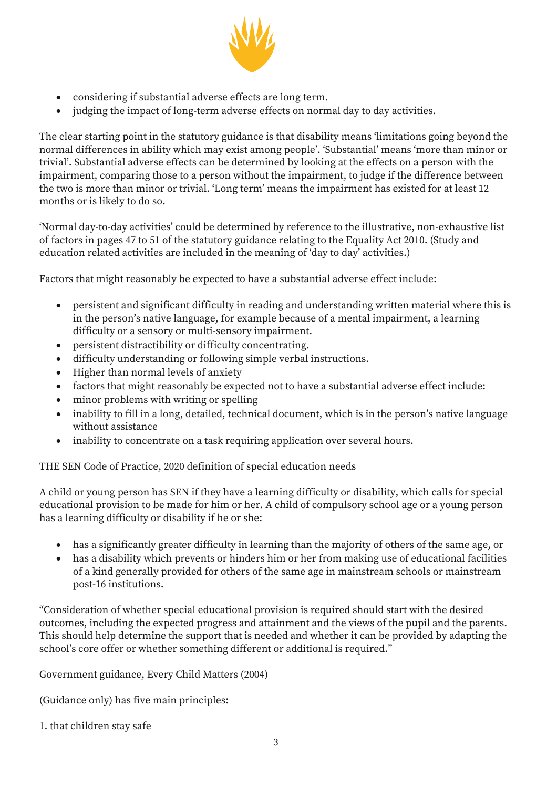

- considering if substantial adverse effects are long term.
- judging the impact of long-term adverse effects on normal day to day activities.

The clear starting point in the statutory guidance is that disability means 'limitations going beyond the normal differences in ability which may exist among people'. 'Substantial' means 'more than minor or trivial'. Substantial adverse effects can be determined by looking at the effects on a person with the impairment, comparing those to a person without the impairment, to judge if the difference between the two is more than minor or trivial. 'Long term' means the impairment has existed for at least 12 months or is likely to do so.

'Normal day-to-day activities' could be determined by reference to the illustrative, non-exhaustive list of factors in pages 47 to 51 of the statutory guidance relating to the Equality Act 2010. (Study and education related activities are included in the meaning of 'day to day' activities.)

Factors that might reasonably be expected to have a substantial adverse effect include:

- persistent and significant difficulty in reading and understanding written material where this is in the person's native language, for example because of a mental impairment, a learning difficulty or a sensory or multi-sensory impairment.
- persistent distractibility or difficulty concentrating.
- difficulty understanding or following simple verbal instructions.
- Higher than normal levels of anxiety
- factors that might reasonably be expected not to have a substantial adverse effect include:
- minor problems with writing or spelling
- inability to fill in a long, detailed, technical document, which is in the person's native language without assistance
- inability to concentrate on a task requiring application over several hours.

THE SEN Code of Practice, 2020 definition of special education needs

A child or young person has SEN if they have a learning difficulty or disability, which calls for special educational provision to be made for him or her. A child of compulsory school age or a young person has a learning difficulty or disability if he or she:

- has a significantly greater difficulty in learning than the majority of others of the same age, or
- has a disability which prevents or hinders him or her from making use of educational facilities of a kind generally provided for others of the same age in mainstream schools or mainstream post-16 institutions.

"Consideration of whether special educational provision is required should start with the desired outcomes, including the expected progress and attainment and the views of the pupil and the parents. This should help determine the support that is needed and whether it can be provided by adapting the school's core offer or whether something different or additional is required."

Government guidance, Every Child Matters (2004)

(Guidance only) has five main principles:

1. that children stay safe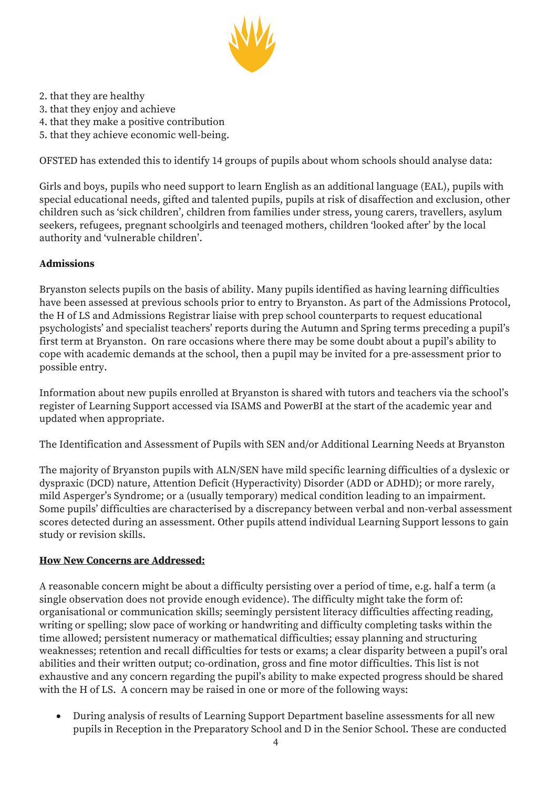

- 2. that they are healthy
- 3. that they enjoy and achieve
- 4. that they make a positive contribution
- 5. that they achieve economic well-being.

OFSTED has extended this to identify 14 groups of pupils about whom schools should analyse data:

Girls and boys, pupils who need support to learn English as an additional language (EAL), pupils with special educational needs, gifted and talented pupils, pupils at risk of disaffection and exclusion, other children such as 'sick children', children from families under stress, young carers, travellers, asylum seekers, refugees, pregnant schoolgirls and teenaged mothers, children 'looked after' by the local authority and 'vulnerable children'.

#### **Admissions**

Bryanston selects pupils on the basis of ability. Many pupils identified as having learning difficulties have been assessed at previous schools prior to entry to Bryanston. As part of the Admissions Protocol, the H of LS and Admissions Registrar liaise with prep school counterparts to request educational psychologists' and specialist teachers' reports during the Autumn and Spring terms preceding a pupil's first term at Bryanston. On rare occasions where there may be some doubt about a pupil's ability to cope with academic demands at the school, then a pupil may be invited for a pre-assessment prior to possible entry.

Information about new pupils enrolled at Bryanston is shared with tutors and teachers via the school's register of Learning Support accessed via ISAMS and PowerBI at the start of the academic year and updated when appropriate.

The Identification and Assessment of Pupils with SEN and/or Additional Learning Needs at Bryanston

The majority of Bryanston pupils with ALN/SEN have mild specific learning difficulties of a dyslexic or dyspraxic (DCD) nature, Attention Deficit (Hyperactivity) Disorder (ADD or ADHD); or more rarely, mild Asperger's Syndrome; or a (usually temporary) medical condition leading to an impairment. Some pupils' difficulties are characterised by a discrepancy between verbal and non-verbal assessment scores detected during an assessment. Other pupils attend individual Learning Support lessons to gain study or revision skills.

#### **How New Concerns are Addressed:**

A reasonable concern might be about a difficulty persisting over a period of time, e.g. half a term (a single observation does not provide enough evidence). The difficulty might take the form of: organisational or communication skills; seemingly persistent literacy difficulties affecting reading, writing or spelling; slow pace of working or handwriting and difficulty completing tasks within the time allowed; persistent numeracy or mathematical difficulties; essay planning and structuring weaknesses; retention and recall difficulties for tests or exams; a clear disparity between a pupil's oral abilities and their written output; co-ordination, gross and fine motor difficulties. This list is not exhaustive and any concern regarding the pupil's ability to make expected progress should be shared with the H of LS. A concern may be raised in one or more of the following ways:

• During analysis of results of Learning Support Department baseline assessments for all new pupils in Reception in the Preparatory School and D in the Senior School. These are conducted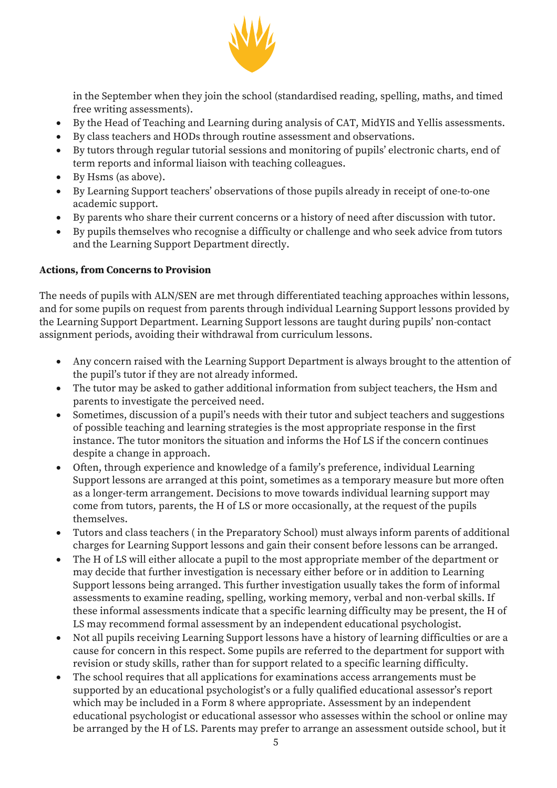

in the September when they join the school (standardised reading, spelling, maths, and timed free writing assessments).

- By the Head of Teaching and Learning during analysis of CAT, MidYIS and Yellis assessments.
- By class teachers and HODs through routine assessment and observations.
- By tutors through regular tutorial sessions and monitoring of pupils' electronic charts, end of term reports and informal liaison with teaching colleagues.
- By Hsms (as above).
- By Learning Support teachers' observations of those pupils already in receipt of one-to-one academic support.
- By parents who share their current concerns or a history of need after discussion with tutor.
- By pupils themselves who recognise a difficulty or challenge and who seek advice from tutors and the Learning Support Department directly.

#### **Actions, from Concerns to Provision**

The needs of pupils with ALN/SEN are met through differentiated teaching approaches within lessons, and for some pupils on request from parents through individual Learning Support lessons provided by the Learning Support Department. Learning Support lessons are taught during pupils' non-contact assignment periods, avoiding their withdrawal from curriculum lessons.

- Any concern raised with the Learning Support Department is always brought to the attention of the pupil's tutor if they are not already informed.
- The tutor may be asked to gather additional information from subject teachers, the Hsm and parents to investigate the perceived need.
- Sometimes, discussion of a pupil's needs with their tutor and subject teachers and suggestions of possible teaching and learning strategies is the most appropriate response in the first instance. The tutor monitors the situation and informs the Hof LS if the concern continues despite a change in approach.
- Often, through experience and knowledge of a family's preference, individual Learning Support lessons are arranged at this point, sometimes as a temporary measure but more often as a longer-term arrangement. Decisions to move towards individual learning support may come from tutors, parents, the H of LS or more occasionally, at the request of the pupils themselves.
- Tutors and class teachers ( in the Preparatory School) must always inform parents of additional charges for Learning Support lessons and gain their consent before lessons can be arranged.
- The H of LS will either allocate a pupil to the most appropriate member of the department or may decide that further investigation is necessary either before or in addition to Learning Support lessons being arranged. This further investigation usually takes the form of informal assessments to examine reading, spelling, working memory, verbal and non-verbal skills. If these informal assessments indicate that a specific learning difficulty may be present, the H of LS may recommend formal assessment by an independent educational psychologist.
- Not all pupils receiving Learning Support lessons have a history of learning difficulties or are a cause for concern in this respect. Some pupils are referred to the department for support with revision or study skills, rather than for support related to a specific learning difficulty.
- The school requires that all applications for examinations access arrangements must be supported by an educational psychologist's or a fully qualified educational assessor's report which may be included in a Form 8 where appropriate. Assessment by an independent educational psychologist or educational assessor who assesses within the school or online may be arranged by the H of LS. Parents may prefer to arrange an assessment outside school, but it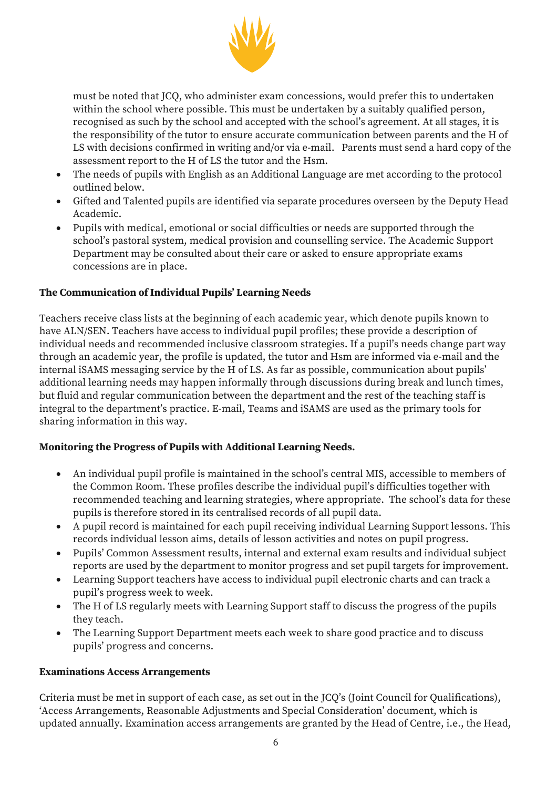

must be noted that JCQ, who administer exam concessions, would prefer this to undertaken within the school where possible. This must be undertaken by a suitably qualified person, recognised as such by the school and accepted with the school's agreement. At all stages, it is the responsibility of the tutor to ensure accurate communication between parents and the H of LS with decisions confirmed in writing and/or via e-mail. Parents must send a hard copy of the assessment report to the H of LS the tutor and the Hsm.

- The needs of pupils with English as an Additional Language are met according to the protocol outlined below.
- Gifted and Talented pupils are identified via separate procedures overseen by the Deputy Head Academic.
- Pupils with medical, emotional or social difficulties or needs are supported through the school's pastoral system, medical provision and counselling service. The Academic Support Department may be consulted about their care or asked to ensure appropriate exams concessions are in place.

### **The Communication of Individual Pupils' Learning Needs**

Teachers receive class lists at the beginning of each academic year, which denote pupils known to have ALN/SEN. Teachers have access to individual pupil profiles; these provide a description of individual needs and recommended inclusive classroom strategies. If a pupil's needs change part way through an academic year, the profile is updated, the tutor and Hsm are informed via e-mail and the internal iSAMS messaging service by the H of LS. As far as possible, communication about pupils' additional learning needs may happen informally through discussions during break and lunch times, but fluid and regular communication between the department and the rest of the teaching staff is integral to the department's practice. E-mail, Teams and iSAMS are used as the primary tools for sharing information in this way.

#### **Monitoring the Progress of Pupils with Additional Learning Needs.**

- An individual pupil profile is maintained in the school's central MIS, accessible to members of the Common Room. These profiles describe the individual pupil's difficulties together with recommended teaching and learning strategies, where appropriate. The school's data for these pupils is therefore stored in its centralised records of all pupil data.
- A pupil record is maintained for each pupil receiving individual Learning Support lessons. This records individual lesson aims, details of lesson activities and notes on pupil progress.
- Pupils' Common Assessment results, internal and external exam results and individual subject reports are used by the department to monitor progress and set pupil targets for improvement.
- Learning Support teachers have access to individual pupil electronic charts and can track a pupil's progress week to week.
- The H of LS regularly meets with Learning Support staff to discuss the progress of the pupils they teach.
- The Learning Support Department meets each week to share good practice and to discuss pupils' progress and concerns.

#### **Examinations Access Arrangements**

Criteria must be met in support of each case, as set out in the JCQ's (Joint Council for Qualifications), 'Access Arrangements, Reasonable Adjustments and Special Consideration' document, which is updated annually. Examination access arrangements are granted by the Head of Centre, i.e., the Head,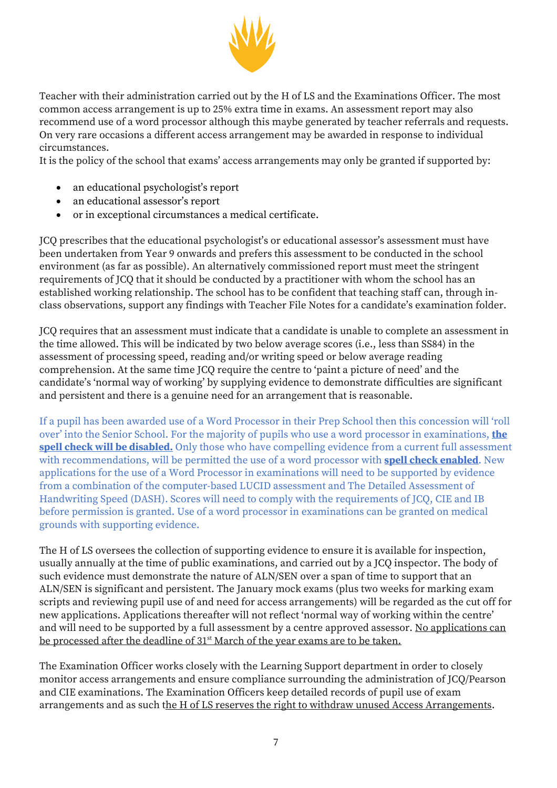

Teacher with their administration carried out by the H of LS and the Examinations Officer. The most common access arrangement is up to 25% extra time in exams. An assessment report may also recommend use of a word processor although this maybe generated by teacher referrals and requests. On very rare occasions a different access arrangement may be awarded in response to individual circumstances.

It is the policy of the school that exams' access arrangements may only be granted if supported by:

- an educational psychologist's report
- an educational assessor's report
- or in exceptional circumstances a medical certificate.

JCQ prescribes that the educational psychologist's or educational assessor's assessment must have been undertaken from Year 9 onwards and prefers this assessment to be conducted in the school environment (as far as possible). An alternatively commissioned report must meet the stringent requirements of JCQ that it should be conducted by a practitioner with whom the school has an established working relationship. The school has to be confident that teaching staff can, through inclass observations, support any findings with Teacher File Notes for a candidate's examination folder.

JCQ requires that an assessment must indicate that a candidate is unable to complete an assessment in the time allowed. This will be indicated by two below average scores (i.e., less than SS84) in the assessment of processing speed, reading and/or writing speed or below average reading comprehension. At the same time JCQ require the centre to 'paint a picture of need' and the candidate's 'normal way of working' by supplying evidence to demonstrate difficulties are significant and persistent and there is a genuine need for an arrangement that is reasonable.

If a pupil has been awarded use of a Word Processor in their Prep School then this concession will 'roll over' into the Senior School. For the majority of pupils who use a word processor in examinations, **the spell check will be disabled.** Only those who have compelling evidence from a current full assessment with recommendations, will be permitted the use of a word processor with **spell check enabled**. New applications for the use of a Word Processor in examinations will need to be supported by evidence from a combination of the computer-based LUCID assessment and The Detailed Assessment of Handwriting Speed (DASH). Scores will need to comply with the requirements of JCQ, CIE and IB before permission is granted. Use of a word processor in examinations can be granted on medical grounds with supporting evidence.

The H of LS oversees the collection of supporting evidence to ensure it is available for inspection, usually annually at the time of public examinations, and carried out by a JCQ inspector. The body of such evidence must demonstrate the nature of ALN/SEN over a span of time to support that an ALN/SEN is significant and persistent. The January mock exams (plus two weeks for marking exam scripts and reviewing pupil use of and need for access arrangements) will be regarded as the cut off for new applications. Applications thereafter will not reflect 'normal way of working within the centre' and will need to be supported by a full assessment by a centre approved assessor. No applications can be processed after the deadline of 31<sup>st</sup> March of the year exams are to be taken.

The Examination Officer works closely with the Learning Support department in order to closely monitor access arrangements and ensure compliance surrounding the administration of JCQ/Pearson and CIE examinations. The Examination Officers keep detailed records of pupil use of exam arrangements and as such the H of LS reserves the right to withdraw unused Access Arrangements.